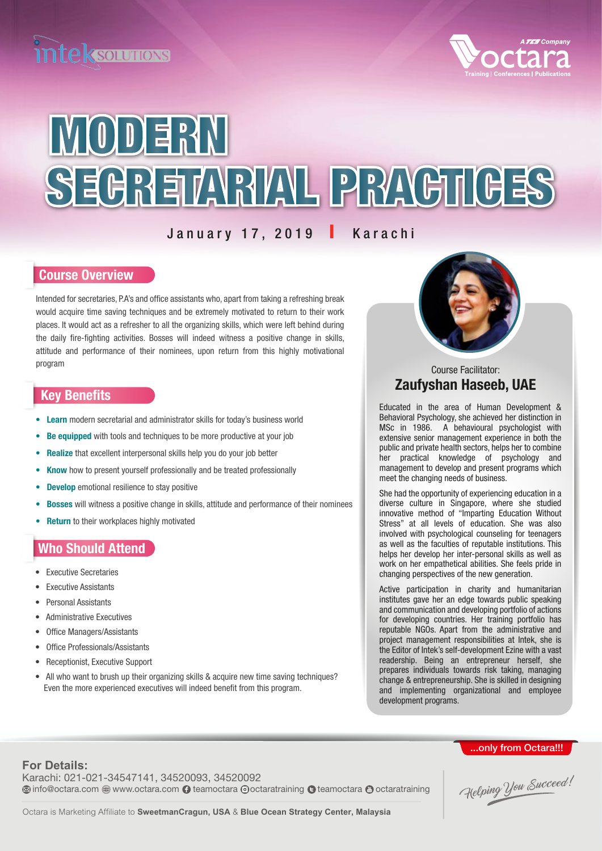



# MODERN SEGREIARIAL PRAGILGES

#### January 17, 2019 I Karachi

#### Course Overview

Intended for secretaries, P.A's and office assistants who, apart from taking a refreshing break would acquire time saving techniques and be extremely motivated to return to their work places. It would act as a refresher to all the organizing skills, which were left behind during the daily fire-fighting activities. Bosses will indeed witness a positive change in skills, attitude and performance of their nominees, upon return from this highly motivational program

#### Key Benefits

- **Learn** modern secretarial and administrator skills for today's business world
- Be equipped with tools and techniques to be more productive at your job
- Realize that excellent interpersonal skills help you do your job better
- Know how to present yourself professionally and be treated professionally
- **Develop** emotional resilience to stay positive
- **Bosses** will witness a positive change in skills, attitude and performance of their nominees
- **Return** to their workplaces highly motivated

#### Who Should Attend

- Executive Secretaries
- **Executive Assistants**
- Personal Assistants
- Administrative Executives
- Office Managers/Assistants
- Office Professionals/Assistants
- Receptionist, Executive Support
- All who want to brush up their organizing skills & acquire new time saving techniques? Even the more experienced executives will indeed benefit from this program.



#### Zaufyshan Haseeb, UAE Course Facilitator:

Educated in the area of Human Development & Behavioral Psychology, she achieved her distinction in MSc in 1986. A behavioural psychologist with extensive senior management experience in both the public and private health sectors, helps her to combine her practical knowledge of psychology and management to develop and present programs which meet the changing needs of business.

She had the opportunity of experiencing education in a diverse culture in Singapore, where she studied innovative method of "Imparting Education Without Stress" at all levels of education. She was also involved with psychological counseling for teenagers as well as the faculties of reputable institutions. This helps her develop her inter-personal skills as well as work on her empathetical abilities. She feels pride in changing perspectives of the new generation.

Active participation in charity and humanitarian institutes gave her an edge towards public speaking and communication and developing portfolio of actions for developing countries. Her training portfolio has reputable NGOs. Apart from the administrative and project management responsibilities at Intek, she is the Editor of Intek's self-development Ezine with a vast readership. Being an entrepreneur herself, she prepares individuals towards risk taking, managing change & entrepreneurship. She is skilled in designing and implementing organizational and employee development programs.

## ..only from Octara!!!

Karachi: 021-021-34547141, 34520093, 34520092 **For Details: Info@octara.com @ www.octara.com teamoctara @octaratraining @ teamoctara @ octaratraining** 

Helping You Succeed!

Octara is Marketing Affiliate to **SweetmanCragun, USA** & **Blue Ocean Strategy Center, Malaysia**